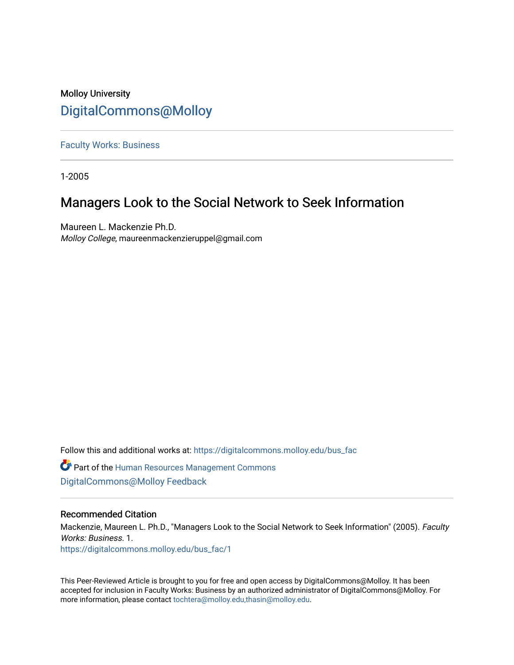# Molloy University [DigitalCommons@Molloy](https://digitalcommons.molloy.edu/)

[Faculty Works: Business](https://digitalcommons.molloy.edu/bus_fac) 

1-2005

# Managers Look to the Social Network to Seek Information

Maureen L. Mackenzie Ph.D. Molloy College, maureenmackenzieruppel@gmail.com

Follow this and additional works at: [https://digitalcommons.molloy.edu/bus\\_fac](https://digitalcommons.molloy.edu/bus_fac?utm_source=digitalcommons.molloy.edu%2Fbus_fac%2F1&utm_medium=PDF&utm_campaign=PDFCoverPages)

**C** Part of the Human Resources Management Commons [DigitalCommons@Molloy Feedback](https://molloy.libwizard.com/f/dcfeedback)

#### Recommended Citation

Mackenzie, Maureen L. Ph.D., "Managers Look to the Social Network to Seek Information" (2005). Faculty Works: Business. 1. [https://digitalcommons.molloy.edu/bus\\_fac/1](https://digitalcommons.molloy.edu/bus_fac/1?utm_source=digitalcommons.molloy.edu%2Fbus_fac%2F1&utm_medium=PDF&utm_campaign=PDFCoverPages)

This Peer-Reviewed Article is brought to you for free and open access by DigitalCommons@Molloy. It has been accepted for inclusion in Faculty Works: Business by an authorized administrator of DigitalCommons@Molloy. For more information, please contact [tochtera@molloy.edu,thasin@molloy.edu.](mailto:tochtera@molloy.edu,thasin@molloy.edu)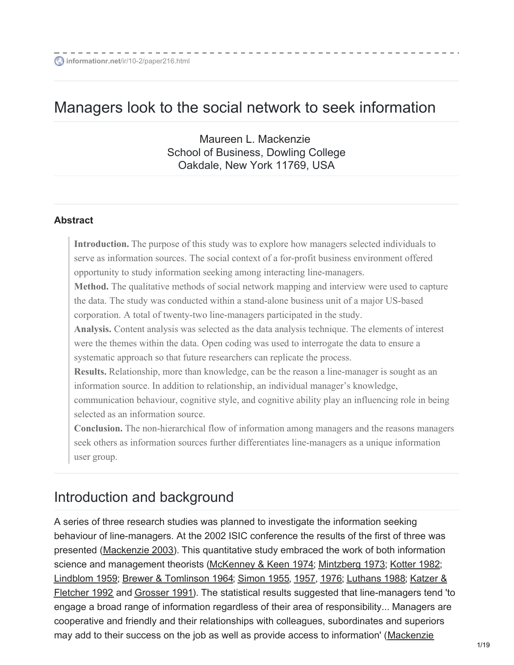# Managers look to the social network to seek information

Maureen L. [Mackenzie](mailto:mackenzm@dowling.edu) School of Business, Dowling College Oakdale, New York 11769, USA

#### **Abstract**

**Introduction.** The purpose of this study was to explore how managers selected individuals to serve as information sources. The social context of a for-profit business environment offered opportunity to study information seeking among interacting line-managers. **Method.** The qualitative methods of social network mapping and interview were used to capture the data. The study was conducted within a stand-alone business unit of a major US-based corporation. A total of twenty-two line-managers participated in the study. **Analysis.** Content analysis was selected as the data analysis technique. The elements of interest were the themes within the data. Open coding was used to interrogate the data to ensure a systematic approach so that future researchers can replicate the process. **Results.** Relationship, more than knowledge, can be the reason a line-manager is sought as an information source. In addition to relationship, an individual manager's knowledge, communication behaviour, cognitive style, and cognitive ability play an influencing role in being selected as an information source. **Conclusion.** The non-hierarchical flow of information among managers and the reasons managers seek others as information sources further differentiates line-managers as a unique information

user group.

# Introduction and background

A series of three research studies was planned to investigate the information seeking behaviour of line-managers. At the 2002 ISIC conference the results of the first of three was presented [\(Mackenzie](#page-16-0) 2003). This quantitative study embraced the work of both information science and management theorists (McKenney & Keen 1974; [Mintzberg](#page-16-1) 1973; [Kotter](#page-16-2) 1982; [Lindblom](#page-16-3) 1959; Brewer & [Tomlinson](#page-15-0) 1964; [Simon](#page-16-4) 1955, [1957](#page-16-5), [1976](#page-16-6); [Luthans](#page-16-7) 1988; Katzer & Fletcher 1992 and [Grosser](#page-16-9) 1991). The statistical results suggested that [line-managers](#page-16-8) tend 'to engage a broad range of information regardless of their area of responsibility... Managers are cooperative and friendly and their relationships with colleagues, subordinates and superiors may add to their success on the job as well as provide access to information' (Mackenzie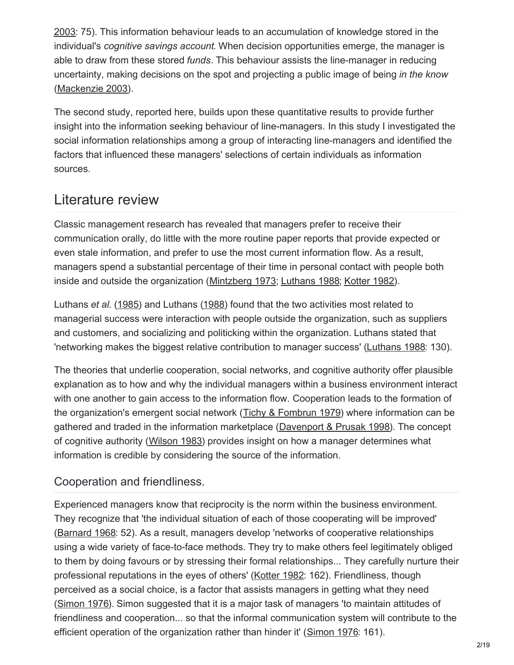2003: 75). This information behaviour leads to an [accumulation](#page-16-0) of knowledge stored in the individual's *cognitive savings account*. When decision opportunities emerge, the manager is able to draw from these stored *funds*. This behaviour assists the line-manager in reducing uncertainty, making decisions on the spot and projecting a public image of being *in the know* [\(Mackenzie](#page-16-0) 2003).

The second study, reported here, builds upon these quantitative results to provide further insight into the information seeking behaviour of line-managers. In this study I investigated the social information relationships among a group of interacting line-managers and identified the factors that influenced these managers' selections of certain individuals as information sources.

# Literature review

Classic management research has revealed that managers prefer to receive their communication orally, do little with the more routine paper reports that provide expected or even stale information, and prefer to use the most current information flow. As a result, managers spend a substantial percentage of their time in personal contact with people both inside and outside the organization [\(Mintzberg](#page-16-1) 1973; [Luthans](#page-16-7) 1988; [Kotter](#page-16-2) 1982).

Luthans *et al.* ([1985](#page-16-10)) and Luthans [\(1988](#page-16-7)) found that the two activities most related to managerial success were interaction with people outside the organization, such as suppliers and customers, and socializing and politicking within the organization. Luthans stated that 'networking makes the biggest relative contribution to manager success' [\(Luthans](#page-16-7) 1988: 130).

The theories that underlie cooperation, social networks, and cognitive authority offer plausible explanation as to how and why the individual managers within a business environment interact with one another to gain access to the information flow. Cooperation leads to the formation of the organization's emergent social network (Tichy & [Fombrun](#page-16-11) 1979) where information can be gathered and traded in the information marketplace ([Davenport](#page-15-1) & Prusak 1998). The concept of cognitive authority [\(Wilson](#page-16-12) 1983) provides insight on how a manager determines what information is credible by considering the source of the information.

# Cooperation and friendliness.

Experienced managers know that reciprocity is the norm within the business environment. They recognize that 'the individual situation of each of those cooperating will be improved' [\(Barnard](#page-15-2) 1968: 52). As a result, managers develop 'networks of cooperative relationships using a wide variety of face-to-face methods. They try to make others feel legitimately obliged to them by doing favours or by stressing their formal relationships... They carefully nurture their professional reputations in the eyes of others' [\(Kotter](#page-16-2) 1982: 162). Friendliness, though perceived as a social choice, is a factor that assists managers in getting what they need [\(Simon](#page-16-6) 1976). Simon suggested that it is a major task of managers 'to maintain attitudes of friendliness and cooperation... so that the informal communication system will contribute to the efficient operation of the organization rather than hinder it' [\(Simon](#page-16-6) 1976: 161).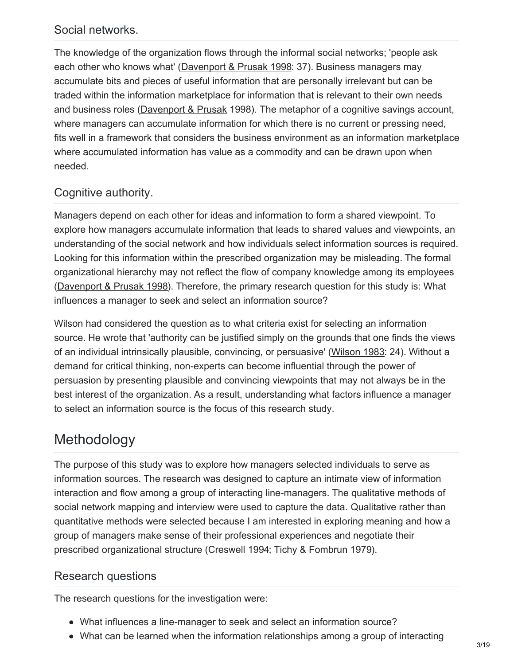### Social networks.

The knowledge of the organization flows through the informal social networks; 'people ask each other who knows what' ([Davenport](#page-15-1) & Prusak 1998: 37). Business managers may accumulate bits and pieces of useful information that are personally irrelevant but can be traded within the information marketplace for information that is relevant to their own needs and business roles [\(Davenport](#page-15-1) & Prusak 1998). The metaphor of a cognitive savings account, where managers can accumulate information for which there is no current or pressing need, fits well in a framework that considers the business environment as an information marketplace where accumulated information has value as a commodity and can be drawn upon when needed.

## Cognitive authority.

Managers depend on each other for ideas and information to form a shared viewpoint. To explore how managers accumulate information that leads to shared values and viewpoints, an understanding of the social network and how individuals select information sources is required. Looking for this information within the prescribed organization may be misleading. The formal organizational hierarchy may not reflect the flow of company knowledge among its employees [\(Davenport](#page-15-1) & Prusak 1998). Therefore, the primary research question for this study is: What influences a manager to seek and select an information source?

Wilson had considered the question as to what criteria exist for selecting an information source. He wrote that 'authority can be justified simply on the grounds that one finds the views of an individual intrinsically plausible, convincing, or persuasive' [\(Wilson](#page-16-12) 1983: 24). Without a demand for critical thinking, non-experts can become influential through the power of persuasion by presenting plausible and convincing viewpoints that may not always be in the best interest of the organization. As a result, understanding what factors influence a manager to select an information source is the focus of this research study.

# Methodology

The purpose of this study was to explore how managers selected individuals to serve as information sources. The research was designed to capture an intimate view of information interaction and flow among a group of interacting line-managers. The qualitative methods of social network mapping and interview were used to capture the data. Qualitative rather than quantitative methods were selected because I am interested in exploring meaning and how a group of managers make sense of their professional experiences and negotiate their prescribed organizational structure [\(Creswell](#page-15-3) 1994; Tichy & [Fombrun](#page-16-11) 1979).

### Research questions

The research questions for the investigation were:

- What influences a line-manager to seek and select an information source?
- What can be learned when the information relationships among a group of interacting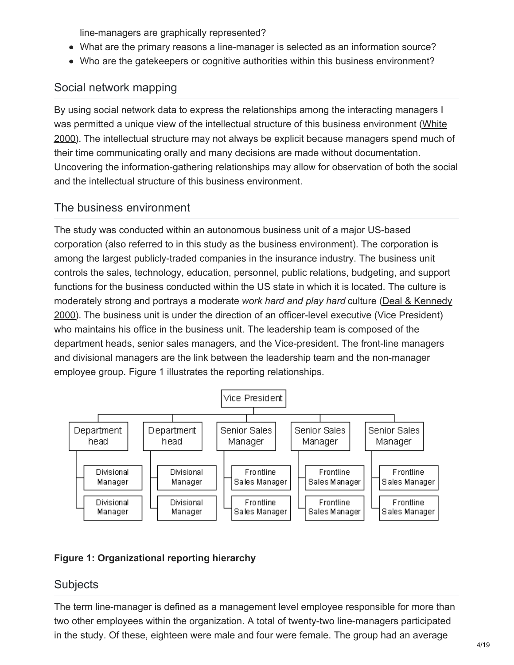line-managers are graphically represented?

- What are the primary reasons a line-manager is selected as an information source?
- Who are the gatekeepers or cognitive authorities within this business environment?

## Social network mapping

By using social network data to express the relationships among the interacting managers I was permitted a unique view of the intellectual structure of this business [environment](#page-16-13) (White 2000). The intellectual structure may not always be explicit because managers spend much of their time communicating orally and many decisions are made without documentation. Uncovering the information-gathering relationships may allow for observation of both the social and the intellectual structure of this business environment.

### The business environment

The study was conducted within an autonomous business unit of a major US-based corporation (also referred to in this study as the business environment). The corporation is among the largest publicly-traded companies in the insurance industry. The business unit controls the sales, technology, education, personnel, public relations, budgeting, and support functions for the business conducted within the US state in which it is located. The culture is moderately strong and portrays a moderate *work hard and play hard* culture (Deal & Kennedy 2000). The business unit is under the direction of an [officer-level](#page-15-4) executive (Vice President) who maintains his office in the business unit. The leadership team is composed of the department heads, senior sales managers, and the Vice-president. The front-line managers and divisional managers are the link between the leadership team and the non-manager employee group. Figure 1 illustrates the reporting relationships.



### **Figure 1: Organizational reporting hierarchy**

### **Subjects**

The term line-manager is defined as a management level employee responsible for more than two other employees within the organization. A total of twenty-two line-managers participated in the study. Of these, eighteen were male and four were female. The group had an average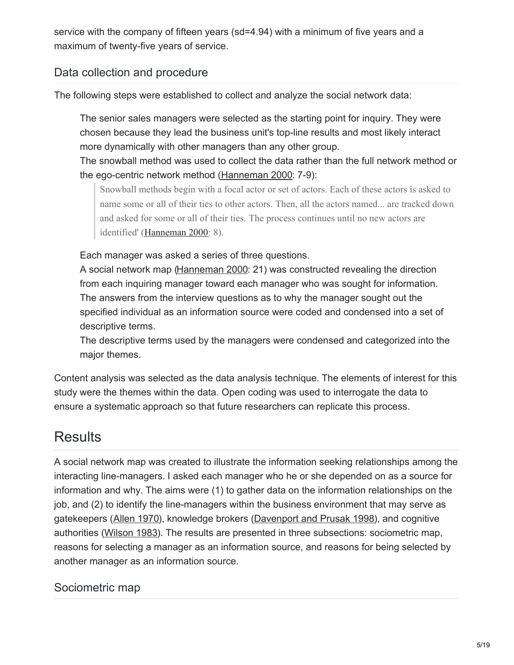service with the company of fifteen years (sd=4.94) with a minimum of five years and a maximum of twenty-five years of service.

## Data collection and procedure

The following steps were established to collect and analyze the social network data:

The senior sales managers were selected as the starting point for inquiry. They were chosen because they lead the business unit's top-line results and most likely interact more dynamically with other managers than any other group.

The snowball method was used to collect the data rather than the full network method or the ego-centric network method [\(Hanneman](#page-16-14) 2000: 7-9):

Snowball methods begin with a focal actor or set of actors. Each of these actors is asked to name some or all of their ties to other actors. Then, all the actors named... are tracked down and asked for some or all of their ties. The process continues until no new actors are identified' [\(Hanneman](#page-16-14) 2000: 8).

Each manager was asked a series of three questions.

A social network map [\(Hanneman](#page-16-14) 2000: 21) was constructed revealing the direction from each inquiring manager toward each manager who was sought for information. The answers from the interview questions as to why the manager sought out the specified individual as an information source were coded and condensed into a set of descriptive terms.

The descriptive terms used by the managers were condensed and categorized into the major themes.

Content analysis was selected as the data analysis technique. The elements of interest for this study were the themes within the data. Open coding was used to interrogate the data to ensure a systematic approach so that future researchers can replicate this process.

# **Results**

A social network map was created to illustrate the information seeking relationships among the interacting line-managers. I asked each manager who he or she depended on as a source for information and why. The aims were (1) to gather data on the information relationships on the job, and (2) to identify the line-managers within the business environment that may serve as gatekeepers ([Allen](#page-15-5) 1970), knowledge brokers [\(Davenport](#page-15-1) and Prusak 1998), and cognitive authorities [\(Wilson](#page-16-12) 1983). The results are presented in three subsections: sociometric map, reasons for selecting a manager as an information source, and reasons for being selected by another manager as an information source.

### Sociometric map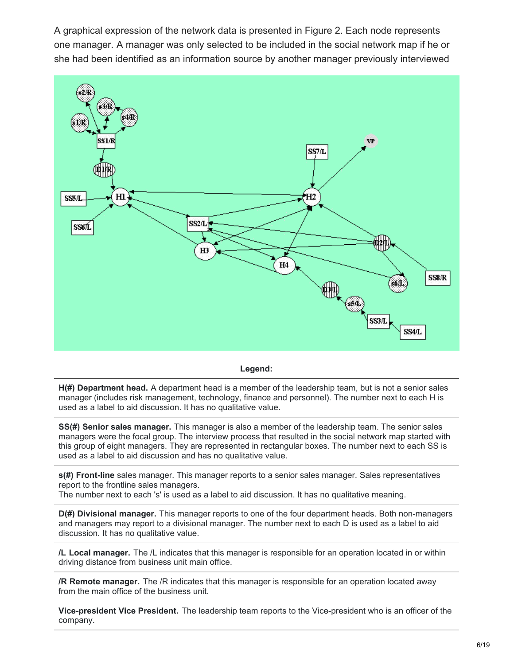A graphical expression of the network data is presented in Figure 2. Each node represents one manager. A manager was only selected to be included in the social network map if he or she had been identified as an information source by another manager previously interviewed



**Legend:**

**H(#) Department head.** A department head is a member of the leadership team, but is not a senior sales manager (includes risk management, technology, finance and personnel). The number next to each H is used as a label to aid discussion. It has no qualitative value.

**SS(#) Senior sales manager.** This manager is also a member of the leadership team. The senior sales managers were the focal group. The interview process that resulted in the social network map started with this group of eight managers. They are represented in rectangular boxes. The number next to each SS is used as a label to aid discussion and has no qualitative value.

**s(#) Front-line** sales manager. This manager reports to a senior sales manager. Sales representatives report to the frontline sales managers.

The number next to each 's' is used as a label to aid discussion. It has no qualitative meaning.

**D(#) Divisional manager.** This manager reports to one of the four department heads. Both non-managers and managers may report to a divisional manager. The number next to each D is used as a label to aid discussion. It has no qualitative value.

**/L Local manager.** The /L indicates that this manager is responsible for an operation located in or within driving distance from business unit main office.

**/R Remote manager.** The /R indicates that this manager is responsible for an operation located away from the main office of the business unit.

**Vice-president Vice President.** The leadership team reports to the Vice-president who is an officer of the company.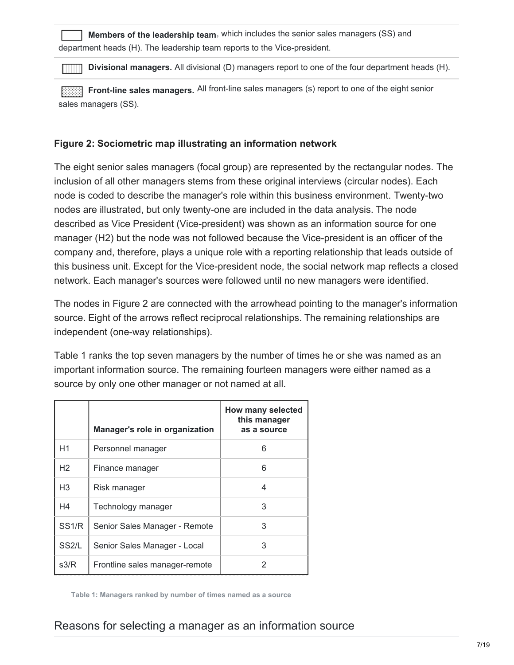|                                                                          | Members of the leadership team, which includes the senior sales managers (SS) and |
|--------------------------------------------------------------------------|-----------------------------------------------------------------------------------|
| department heads (H). The leadership team reports to the Vice-president. |                                                                                   |

**Divisional managers.** All divisional (D) managers report to one of the four department heads (H).

**Front-line sales managers.** All front-line sales managers (s) report to one of the eight senior sales managers (SS).

#### **Figure 2: Sociometric map illustrating an information network**

The eight senior sales managers (focal group) are represented by the rectangular nodes. The inclusion of all other managers stems from these original interviews (circular nodes). Each node is coded to describe the manager's role within this business environment. Twenty-two nodes are illustrated, but only twenty-one are included in the data analysis. The node described as Vice President (Vice-president) was shown as an information source for one manager (H2) but the node was not followed because the Vice-president is an officer of the company and, therefore, plays a unique role with a reporting relationship that leads outside of this business unit. Except for the Vice-president node, the social network map reflects a closed network. Each manager's sources were followed until no new managers were identified.

The nodes in Figure 2 are connected with the arrowhead pointing to the manager's information source. Eight of the arrows reflect reciprocal relationships. The remaining relationships are independent (one-way relationships).

Table 1 ranks the top seven managers by the number of times he or she was named as an important information source. The remaining fourteen managers were either named as a source by only one other manager or not named at all.

|                    | Manager's role in organization | How many selected<br>this manager<br>as a source |
|--------------------|--------------------------------|--------------------------------------------------|
| H1                 | Personnel manager              | 6                                                |
| H <sub>2</sub>     | Finance manager                | 6                                                |
| H <sub>3</sub>     | Risk manager                   | 4                                                |
| H4                 | Technology manager             | 3                                                |
| SS <sub>1/R</sub>  | Senior Sales Manager - Remote  | 3                                                |
| SS <sub>2</sub> /L | Senior Sales Manager - Local   | 3                                                |
| s3/R               | Frontline sales manager-remote | 2                                                |

**Table 1: Managers ranked by number of times named as a source**

### Reasons for selecting a manager as an information source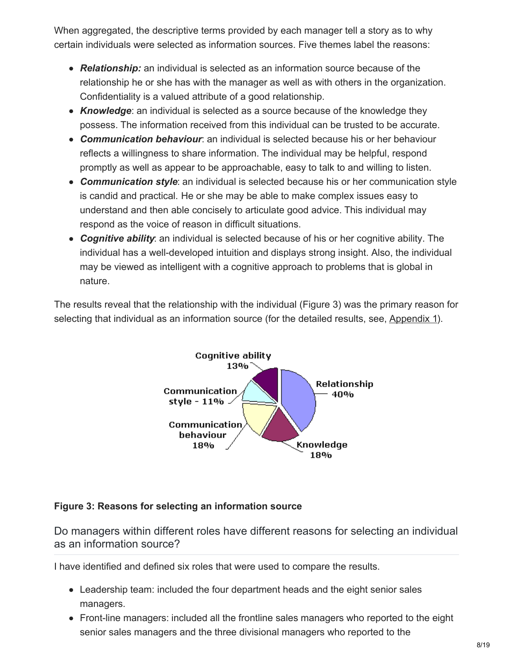When aggregated, the descriptive terms provided by each manager tell a story as to why certain individuals were selected as information sources. Five themes label the reasons:

- *Relationship:* an individual is selected as an information source because of the relationship he or she has with the manager as well as with others in the organization. Confidentiality is a valued attribute of a good relationship.
- *Knowledge*: an individual is selected as a source because of the knowledge they possess. The information received from this individual can be trusted to be accurate.
- *Communication behaviour*: an individual is selected because his or her behaviour reflects a willingness to share information. The individual may be helpful, respond promptly as well as appear to be approachable, easy to talk to and willing to listen.
- *Communication style*: an individual is selected because his or her communication style is candid and practical. He or she may be able to make complex issues easy to understand and then able concisely to articulate good advice. This individual may respond as the voice of reason in difficult situations.
- *Cognitive ability*: an individual is selected because of his or her cognitive ability. The individual has a well-developed intuition and displays strong insight. Also, the individual may be viewed as intelligent with a cognitive approach to problems that is global in nature.

The results reveal that the relationship with the individual (Figure 3) was the primary reason for selecting that individual as an information source (for the detailed results, see, Appendix 1).



#### **Figure 3: Reasons for selecting an information source**

Do managers within different roles have different reasons for selecting an individual as an information source?

I have identified and defined six roles that were used to compare the results.

- Leadership team: included the four department heads and the eight senior sales managers.
- Front-line managers: included all the frontline sales managers who reported to the eight senior sales managers and the three divisional managers who reported to the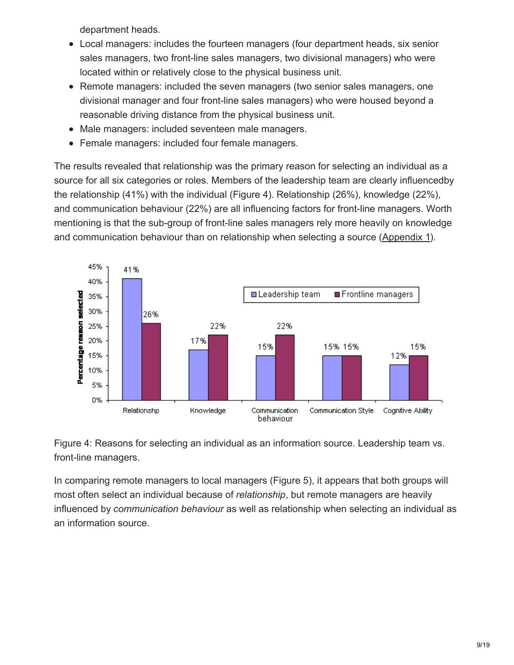department heads.

- Local managers: includes the fourteen managers (four department heads, six senior sales managers, two front-line sales managers, two divisional managers) who were located within or relatively close to the physical business unit.
- Remote managers: included the seven managers (two senior sales managers, one divisional manager and four front-line sales managers) who were housed beyond a reasonable driving distance from the physical business unit.
- Male managers: included seventeen male managers.
- Female managers: included four female managers.

The results revealed that relationship was the primary reason for selecting an individual as a source for all six categories or roles. Members of the leadership team are clearly influencedby the relationship (41%) with the individual (Figure 4). Relationship (26%), knowledge (22%), and communication behaviour (22%) are all influencing factors for front-line managers. Worth mentioning is that the sub-group of front-line sales managers rely more heavily on knowledge and communication behaviour than on relationship when selecting a source (Appendix 1).



Figure 4: Reasons for selecting an individual as an information source. Leadership team vs. front-line managers.

In comparing remote managers to local managers (Figure 5), it appears that both groups will most often select an individual because of *relationship*, but remote managers are heavily influenced by *communication behaviour* as well as relationship when selecting an individual as an information source.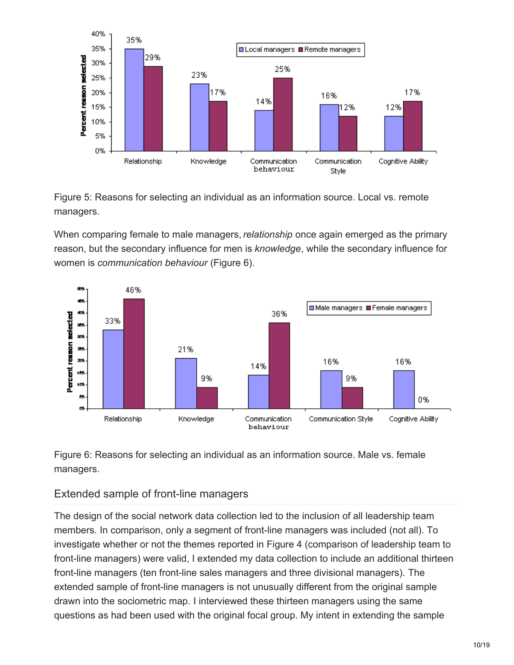

Figure 5: Reasons for selecting an individual as an information source. Local vs. remote managers.

When comparing female to male managers, *relationship* once again emerged as the primary reason, but the secondary influence for men is *knowledge*, while the secondary influence for women is *communication behaviour* (Figure 6).



Figure 6: Reasons for selecting an individual as an information source. Male vs. female managers.

### Extended sample of front-line managers

The design of the social network data collection led to the inclusion of all leadership team members. In comparison, only a segment of front-line managers was included (not all). To investigate whether or not the themes reported in Figure 4 (comparison of leadership team to front-line managers) were valid, I extended my data collection to include an additional thirteen front-line managers (ten front-line sales managers and three divisional managers). The extended sample of front-line managers is not unusually different from the original sample drawn into the sociometric map. I interviewed these thirteen managers using the same questions as had been used with the original focal group. My intent in extending the sample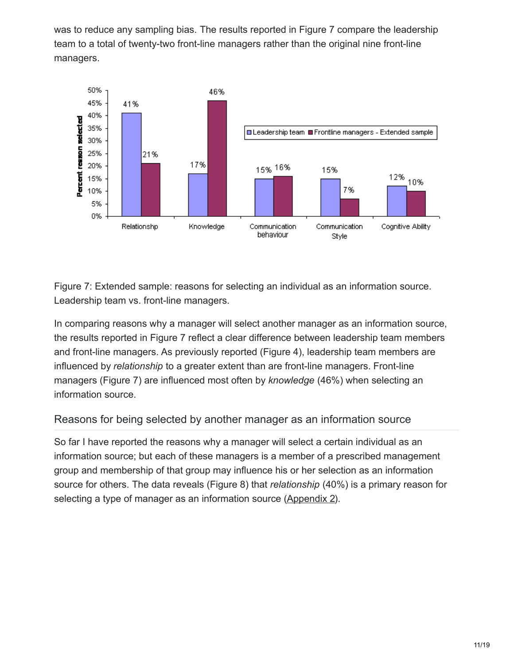was to reduce any sampling bias. The results reported in Figure 7 compare the leadership team to a total of twenty-two front-line managers rather than the original nine front-line managers.



Figure 7: Extended sample: reasons for selecting an individual as an information source. Leadership team vs. front-line managers.

In comparing reasons why a manager will select another manager as an information source, the results reported in Figure 7 reflect a clear difference between leadership team members and front-line managers. As previously reported (Figure 4), leadership team members are influenced by *relationship* to a greater extent than are front-line managers. Front-line managers (Figure 7) are influenced most often by *knowledge* (46%) when selecting an information source.

### Reasons for being selected by another manager as an information source

So far I have reported the reasons why a manager will select a certain individual as an information source; but each of these managers is a member of a prescribed management group and membership of that group may influence his or her selection as an information source for others. The data reveals (Figure 8) that *relationship* (40%) is a primary reason for selecting a type of manager as an information source [\(Appendix](#page-17-0) 2).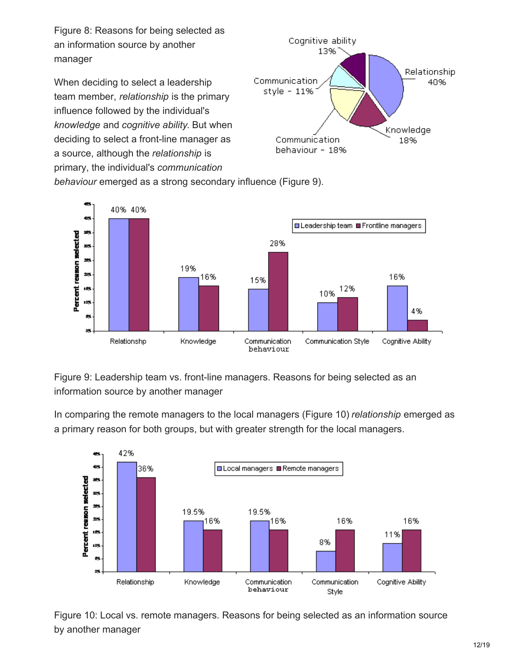Figure 8: Reasons for being selected as an information source by another manager

When deciding to select a leadership team member, *relationship* is the primary influence followed by the individual's *knowledge* and *cognitive ability*. But when deciding to select a front-line manager as a source, although the *relationship* is primary, the individual's *communication*



*behaviour* emerged as a strong secondary influence (Figure 9).



Figure 9: Leadership team vs. front-line managers. Reasons for being selected as an information source by another manager

In comparing the remote managers to the local managers (Figure 10) *relationship* emerged as a primary reason for both groups, but with greater strength for the local managers.



Figure 10: Local vs. remote managers. Reasons for being selected as an information source by another manager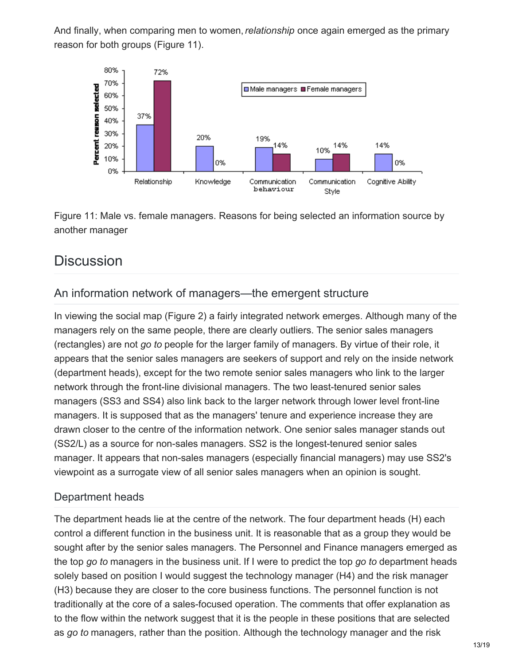And finally, when comparing men to women,*relationship* once again emerged as the primary reason for both groups (Figure 11).



Figure 11: Male vs. female managers. Reasons for being selected an information source by another manager

# **Discussion**

### An information network of managers—the emergent structure

In viewing the social map (Figure 2) a fairly integrated network emerges. Although many of the managers rely on the same people, there are clearly outliers. The senior sales managers (rectangles) are not *go to* people for the larger family of managers. By virtue of their role, it appears that the senior sales managers are seekers of support and rely on the inside network (department heads), except for the two remote senior sales managers who link to the larger network through the front-line divisional managers. The two least-tenured senior sales managers (SS3 and SS4) also link back to the larger network through lower level front-line managers. It is supposed that as the managers' tenure and experience increase they are drawn closer to the centre of the information network. One senior sales manager stands out (SS2/L) as a source for non-sales managers. SS2 is the longest-tenured senior sales manager. It appears that non-sales managers (especially financial managers) may use SS2's viewpoint as a surrogate view of all senior sales managers when an opinion is sought.

### Department heads

The department heads lie at the centre of the network. The four department heads (H) each control a different function in the business unit. It is reasonable that as a group they would be sought after by the senior sales managers. The Personnel and Finance managers emerged as the top *go to* managers in the business unit. If I were to predict the top *go to* department heads solely based on position I would suggest the technology manager (H4) and the risk manager (H3) because they are closer to the core business functions. The personnel function is not traditionally at the core of a sales-focused operation. The comments that offer explanation as to the flow within the network suggest that it is the people in these positions that are selected as *go to* managers, rather than the position. Although the technology manager and the risk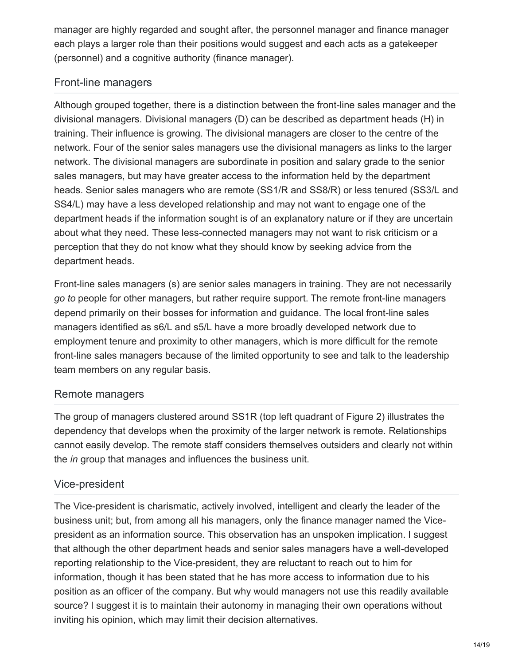manager are highly regarded and sought after, the personnel manager and finance manager each plays a larger role than their positions would suggest and each acts as a gatekeeper (personnel) and a cognitive authority (finance manager).

## Front-line managers

Although grouped together, there is a distinction between the front-line sales manager and the divisional managers. Divisional managers (D) can be described as department heads (H) in training. Their influence is growing. The divisional managers are closer to the centre of the network. Four of the senior sales managers use the divisional managers as links to the larger network. The divisional managers are subordinate in position and salary grade to the senior sales managers, but may have greater access to the information held by the department heads. Senior sales managers who are remote (SS1/R and SS8/R) or less tenured (SS3/L and SS4/L) may have a less developed relationship and may not want to engage one of the department heads if the information sought is of an explanatory nature or if they are uncertain about what they need. These less-connected managers may not want to risk criticism or a perception that they do not know what they should know by seeking advice from the department heads.

Front-line sales managers (s) are senior sales managers in training. They are not necessarily *go to* people for other managers, but rather require support. The remote front-line managers depend primarily on their bosses for information and guidance. The local front-line sales managers identified as s6/L and s5/L have a more broadly developed network due to employment tenure and proximity to other managers, which is more difficult for the remote front-line sales managers because of the limited opportunity to see and talk to the leadership team members on any regular basis.

### Remote managers

The group of managers clustered around SS1R (top left quadrant of Figure 2) illustrates the dependency that develops when the proximity of the larger network is remote. Relationships cannot easily develop. The remote staff considers themselves outsiders and clearly not within the *in* group that manages and influences the business unit.

### Vice-president

The Vice-president is charismatic, actively involved, intelligent and clearly the leader of the business unit; but, from among all his managers, only the finance manager named the Vicepresident as an information source. This observation has an unspoken implication. I suggest that although the other department heads and senior sales managers have a well-developed reporting relationship to the Vice-president, they are reluctant to reach out to him for information, though it has been stated that he has more access to information due to his position as an officer of the company. But why would managers not use this readily available source? I suggest it is to maintain their autonomy in managing their own operations without inviting his opinion, which may limit their decision alternatives.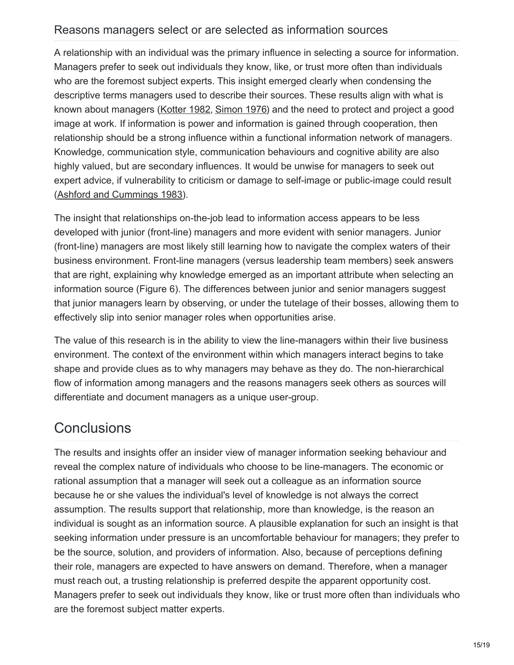#### Reasons managers select or are selected as information sources

A relationship with an individual was the primary influence in selecting a source for information. Managers prefer to seek out individuals they know, like, or trust more often than individuals who are the foremost subject experts. This insight emerged clearly when condensing the descriptive terms managers used to describe their sources. These results align with what is known about managers [\(Kotter](#page-16-2) 1982, [Simon](#page-16-6) 1976) and the need to protect and project a good image at work. If information is power and information is gained through cooperation, then relationship should be a strong influence within a functional information network of managers. Knowledge, communication style, communication behaviours and cognitive ability are also highly valued, but are secondary influences. It would be unwise for managers to seek out expert advice, if vulnerability to criticism or damage to self-image or public-image could result (Ashford and [Cummings](#page-15-6) 1983).

The insight that relationships on-the-job lead to information access appears to be less developed with junior (front-line) managers and more evident with senior managers. Junior (front-line) managers are most likely still learning how to navigate the complex waters of their business environment. Front-line managers (versus leadership team members) seek answers that are right, explaining why knowledge emerged as an important attribute when selecting an information source (Figure 6). The differences between junior and senior managers suggest that junior managers learn by observing, or under the tutelage of their bosses, allowing them to effectively slip into senior manager roles when opportunities arise.

The value of this research is in the ability to view the line-managers within their live business environment. The context of the environment within which managers interact begins to take shape and provide clues as to why managers may behave as they do. The non-hierarchical flow of information among managers and the reasons managers seek others as sources will differentiate and document managers as a unique user-group.

# <span id="page-15-5"></span>**Conclusions**

<span id="page-15-6"></span><span id="page-15-4"></span><span id="page-15-3"></span><span id="page-15-2"></span><span id="page-15-1"></span><span id="page-15-0"></span>The results and insights offer an insider view of manager information seeking behaviour and reveal the complex nature of individuals who choose to be line-managers. The economic or rational assumption that a manager will seek out a colleague as an information source because he or she values the individual's level of knowledge is not always the correct assumption. The results support that relationship, more than knowledge, is the reason an individual is sought as an information source. A plausible explanation for such an insight is that seeking information under pressure is an uncomfortable behaviour for managers; they prefer to be the source, solution, and providers of information. Also, because of perceptions defining their role, managers are expected to have answers on demand. Therefore, when a manager must reach out, a trusting relationship is preferred despite the apparent opportunity cost. Managers prefer to seek out individuals they know, like or trust more often than individuals who are the foremost subject matter experts.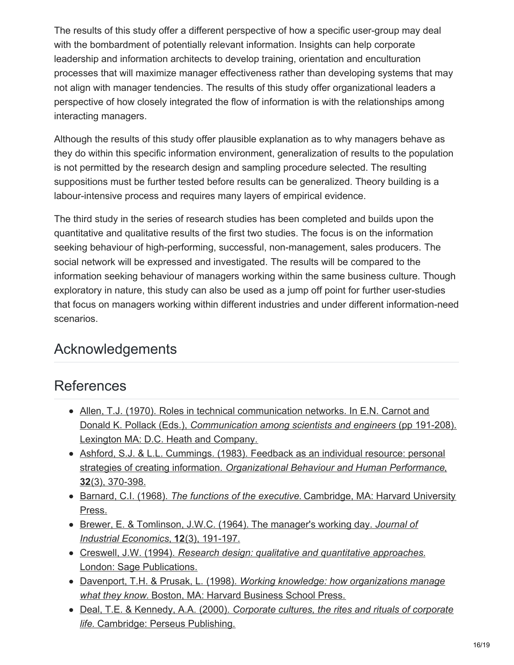<span id="page-16-14"></span><span id="page-16-9"></span>The results of this study offer a different perspective of how a specific user-group may deal with the bombardment of potentially relevant information. Insights can help corporate leadership and information architects to develop training, orientation and enculturation processes that will maximize manager effectiveness rather than developing systems that may not align with manager tendencies. The results of this study offer organizational leaders a perspective of how closely integrated the flow of information is with the relationships among interacting managers.

<span id="page-16-8"></span><span id="page-16-7"></span><span id="page-16-3"></span><span id="page-16-2"></span>Although the results of this study offer plausible explanation as to why managers behave as they do within this specific information environment, generalization of results to the population is not permitted by the research design and sampling procedure selected. The resulting suppositions must be further tested before results can be generalized. Theory building is a labour-intensive process and requires many layers of empirical evidence.

<span id="page-16-10"></span><span id="page-16-0"></span>The third study in the series of research studies has been completed and builds upon the quantitative and qualitative results of the first two studies. The focus is on the information seeking behaviour of high-performing, successful, non-management, sales producers. The social network will be expressed and investigated. The results will be compared to the information seeking behaviour of managers working within the same business culture. Though exploratory in nature, this study can also be used as a jump off point for further user-studies that focus on managers working within different industries and under different information-need scenarios.

# <span id="page-16-4"></span><span id="page-16-1"></span>Acknowledgements

# <span id="page-16-6"></span><span id="page-16-5"></span>References

- <span id="page-16-13"></span><span id="page-16-11"></span>• Allen, T.J. (1970). Roles in technical communication networks. In E.N. Carnot and Donald K. Pollack (Eds.), *Communication among scientists and engineers* (pp 191-208). Lexington MA: D.C. Heath and Company.
- <span id="page-16-12"></span>Ashford, S.J. & L.L. Cummings. (1983). Feedback as an individual resource: personal strategies of creating information. *Organizational Behaviour and Human Performance*, **32**(3), 370-398.
- Barnard, C.I. (1968). *The functions of the executive.* Cambridge, MA: Harvard University Press.
- Brewer, E. & Tomlinson, J.W.C. (1964). The manager's working day. *Journal of Industrial Economics*, **12**(3), 191-197.
- Creswell, J.W. (1994). *Research design: qualitative and quantitative approaches.* London: Sage Publications.
- Davenport, T.H. & Prusak, L. (1998). *Working knowledge: how organizations manage what they know.* Boston, MA: Harvard Business School Press.
- Deal, T.E. & Kennedy, A.A. (2000). *Corporate cultures, the rites and rituals of corporate life.* Cambridge: Perseus Publishing.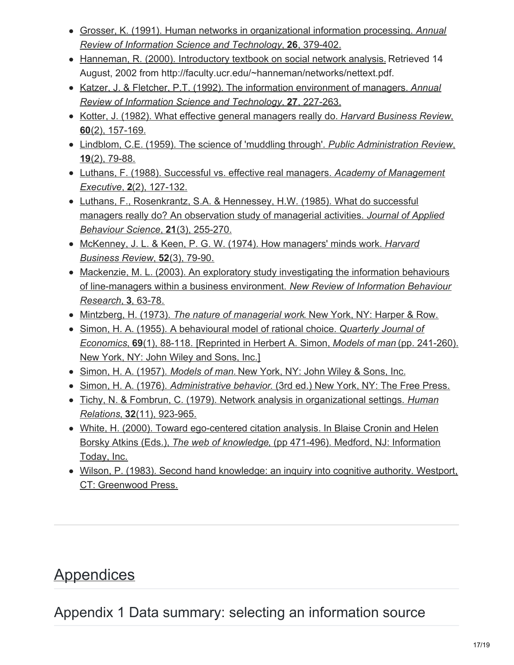- Grosser, K. (1991). Human networks in organizational information processing. *Annual Review of Information Science and Technology*, **26**, 379-402.
- Hanneman, R. (2000). [Introductory](http://faculty.ucr.edu/~hanneman/networks/nettext.pdf) textbook on social network analysis. Retrieved 14 August, 2002 from http://faculty.ucr.edu/~hanneman/networks/nettext.pdf.
- Katzer, J. & Fletcher, P.T. (1992). The information environment of managers. *Annual Review of Information Science and Technology*, **27**, 227-263.
- Kotter, J. (1982). What effective general managers really do. *Harvard Business Review*, **60**(2), 157-169.
- Lindblom, C.E. (1959). The science of 'muddling through'. *Public Administration Review*, **19**(2), 79-88.
- Luthans, F. (1988). Successful vs. effective real managers. *Academy of Management Executive*, **2**(2), 127-132.
- Luthans, F., Rosenkrantz, S.A. & Hennessey, H.W. (1985). What do successful managers really do? An observation study of managerial activities. *Journal of Applied Behaviour Science*, **21**(3), 255-270.
- McKenney, J. L. & Keen, P. G. W. (1974). How managers' minds work. *Harvard Business Review*, **52**(3), 79-90.
- Mackenzie, M. L. (2003). An exploratory study investigating the information behaviours of line-managers within a business environment. *New Review of Information Behaviour Research*, **3**, 63-78.
- Mintzberg, H. (1973). *The nature of managerial work*. New York, NY: Harper & Row.
- Simon, H. A. (1955). A behavioural model of rational choice. *Quarterly Journal of Economics*, **69**(1), 88-118. [Reprinted in Herbert A. Simon, *Models of man* (pp. 241-260). New York, NY: John Wiley and Sons, Inc.]
- Simon, H. A. (1957). *Models of man.* New York, NY: John Wiley & Sons, Inc.
- Simon, H. A. (1976). *Administrative behavior*. (3rd ed.) New York, NY: The Free Press.
- Tichy, N. & Fombrun, C. (1979). Network analysis in organizational settings. *Human Relations*, **32**(11), 923-965.
- <span id="page-17-0"></span>White, H. (2000). Toward ego-centered citation analysis. In Blaise Cronin and Helen Borsky Atkins (Eds.), *The web of knowledge*, (pp 471-496). Medford, NJ: Information Today, Inc.
- Wilson, P. (1983). Second hand knowledge: an inquiry into cognitive authority. Westport, CT: Greenwood Press.

# **Appendices**

Appendix 1 Data summary: selecting an information source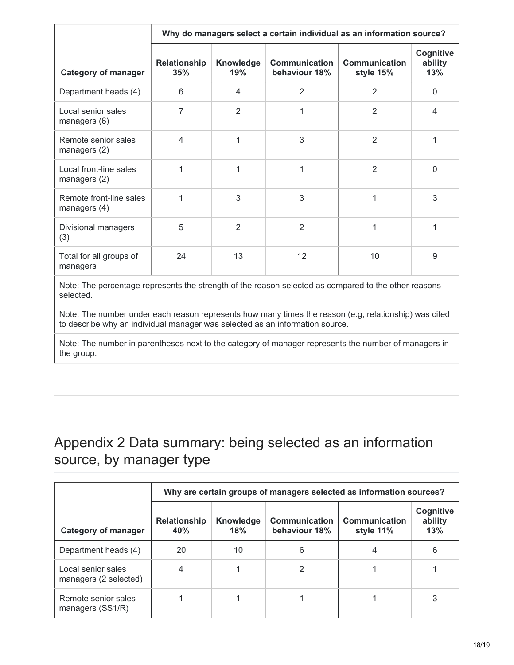|                                         | Why do managers select a certain individual as an information source? |                  |                                       |                                   |                                    |
|-----------------------------------------|-----------------------------------------------------------------------|------------------|---------------------------------------|-----------------------------------|------------------------------------|
| <b>Category of manager</b>              | <b>Relationship</b><br>35%                                            | Knowledge<br>19% | <b>Communication</b><br>behaviour 18% | <b>Communication</b><br>style 15% | <b>Cognitive</b><br>ability<br>13% |
| Department heads (4)                    | 6                                                                     | 4                | $\overline{2}$                        | $\overline{2}$                    | 0                                  |
| Local senior sales<br>managers (6)      | 7                                                                     | $\overline{2}$   | 1                                     | $\overline{2}$                    | 4                                  |
| Remote senior sales<br>managers (2)     | $\overline{4}$                                                        | 1                | 3                                     | $\overline{2}$                    | 1                                  |
| Local front-line sales<br>managers (2)  |                                                                       | 1                | 1                                     | $\overline{2}$                    | $\Omega$                           |
| Remote front-line sales<br>managers (4) | 1                                                                     | 3                | 3                                     | 1                                 | 3                                  |
| Divisional managers<br>(3)              | 5                                                                     | 2                | $\overline{2}$                        | 1                                 |                                    |
| Total for all groups of<br>managers     | 24                                                                    | 13               | 12                                    | 10                                | 9                                  |
|                                         |                                                                       |                  |                                       |                                   |                                    |

Note: The percentage represents the strength of the reason selected as compared to the other reasons selected.

Note: The number under each reason represents how many times the reason (e.g, relationship) was cited to describe why an individual manager was selected as an information source.

Note: The number in parentheses next to the category of manager represents the number of managers in the group.

# Appendix 2 Data summary: being selected as an information source, by manager type

|                                             | Why are certain groups of managers selected as information sources? |                  |                                       |                                   |                             |
|---------------------------------------------|---------------------------------------------------------------------|------------------|---------------------------------------|-----------------------------------|-----------------------------|
| <b>Category of manager</b>                  | <b>Relationship</b><br>40%                                          | Knowledge<br>18% | <b>Communication</b><br>behaviour 18% | <b>Communication</b><br>style 11% | Cognitive<br>ability<br>13% |
| Department heads (4)                        | 20                                                                  | 10               | 6                                     |                                   | 6                           |
| Local senior sales<br>managers (2 selected) |                                                                     |                  | 2                                     |                                   |                             |
| Remote senior sales<br>managers (SS1/R)     |                                                                     |                  |                                       |                                   | 3                           |